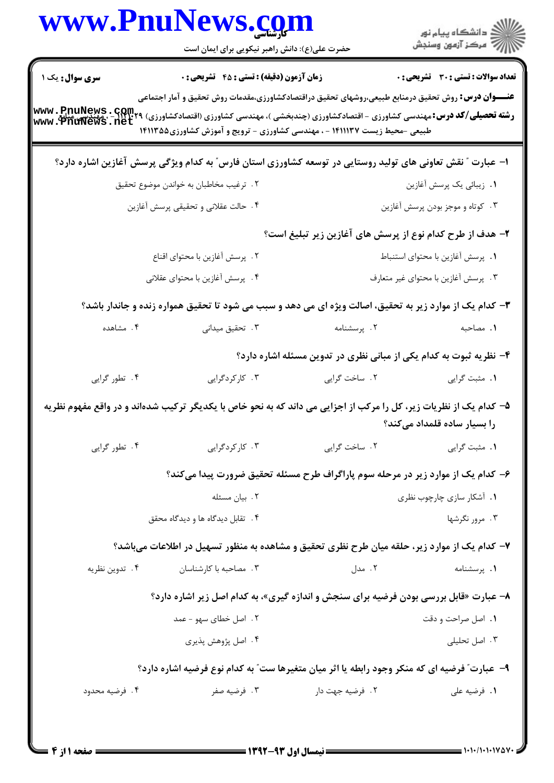|                 | www.PnuNews.com<br>حضرت علی(ع): دانش راهبر نیکویی برای ایمان است                                                                                                                                                                                                                                                                              |                                                                                 | الاد دانشگاه پيام نور<br>الاستخمار آزمون وسنجش |
|-----------------|-----------------------------------------------------------------------------------------------------------------------------------------------------------------------------------------------------------------------------------------------------------------------------------------------------------------------------------------------|---------------------------------------------------------------------------------|------------------------------------------------|
| سری سوال : یک ۱ | زمان آزمون (دقیقه) : تستی : 45 گتشریحی : 0                                                                                                                                                                                                                                                                                                    |                                                                                 | <b>تعداد سوالات : تستی : 30 ٪ تشریحی : 0</b>   |
|                 | <b>عنــــوان درس:</b> روش تحقیق درمنابع طبیعی،روشهای تحقیق دراقتصادکشاورزی،مقدمات روش تحقیق و آمار اجتماعی<br><b>رشته تحصیلی/کد درس:</b> مهندسی کشاورزی - اقتصادکشاورزی (چندبخشی )، مهندسی کشاورزی (اقتصادکشاورزی) www . PnuNews . Com<br>  www . PnuNews . net<br>طبیعی -محیط زیست ۱۴۱۱۱۳۷ - ، مهندسی کشاورزی - ترویج و آموزش کشاورزی1۴۱۱۳۵۵ |                                                                                 |                                                |
|                 | ا– عبارت ″ نقش تعاونی های تولید روستایی در توسعه کشاورزی استان فارس″ به کدام ویژگی پرسش آغازین اشاره دارد؟                                                                                                                                                                                                                                    |                                                                                 |                                                |
|                 | ۰۲ ترغیب مخاطبان به خواندن موضوع تحقیق                                                                                                                                                                                                                                                                                                        |                                                                                 | ۰۱ زیبائی یک پرسش آغازین                       |
|                 | ۰۴ حالت عقلانی و تحقیقی پرسش آغازین                                                                                                                                                                                                                                                                                                           |                                                                                 | ۰۳ کوتاه و موجز بودن پرسش آغازین               |
|                 |                                                                                                                                                                                                                                                                                                                                               | ۲– هدف از طرح کدام نوع از پرسش های آغازین زیر تبلیغ است؟                        |                                                |
|                 | ٢. پرسش أغازين با محتواي اقناع                                                                                                                                                                                                                                                                                                                |                                                                                 | ٠. پرسش آغازين با محتواي استنباط               |
|                 | ۴. پرسش أغازين با محتواي عقلاني                                                                                                                                                                                                                                                                                                               |                                                                                 | ۰۳ پرسش آغازین با محتوای غیر متعارف            |
|                 | ۳- کدام یک از موارد زیر به تحقیق، اصالت ویژه ای می دهد و سبب می شود تا تحقیق همواره زنده و جاندار باشد؟                                                                                                                                                                                                                                       |                                                                                 |                                                |
| ۰۴ مشاهده       | ۰۳ تحقیق میدانی                                                                                                                                                                                                                                                                                                                               | ۰۲ پرسشنامه                                                                     | ٠١. مصاحبه                                     |
|                 |                                                                                                                                                                                                                                                                                                                                               | ۴– نظریه ثبوت به کدام یکی از مبانی نظری در تدوین مسئله اشاره دارد؟              |                                                |
| ۰۴ تطور گرایی   | ۰۳ کارکردگرایی                                                                                                                                                                                                                                                                                                                                | ٢. ساخت گرايي                                                                   | ٠١. مثبت گرايي                                 |
|                 | ۵– کدام یک از نظریات زیر، کل را مرکب از اجزایی می داند که به نحو خاص با یکدیگر ترکیب شدهاند و در واقع مفهوم نظریه                                                                                                                                                                                                                             |                                                                                 | را بسیار ساده قلمداد م <i>ی ک</i> ند؟          |
| ۰۴ تطور گرایی   | ۰۳ کارکردگرایی                                                                                                                                                                                                                                                                                                                                | ٢. ساخت گرايي                                                                   | 1. مثبت گرايي                                  |
|                 |                                                                                                                                                                                                                                                                                                                                               | ۶- کدام یک از موارد زیر در مرحله سوم پاراگراف طرح مسئله تحقیق ضرورت پیدا میکند؟ |                                                |
|                 | ۰۲ بیان مسئله                                                                                                                                                                                                                                                                                                                                 |                                                                                 | ۰۱ آشکار سازی چارچوب نظری                      |
|                 | ۰۴ تقابل دیدگاه ها و دیدگاه محقق                                                                                                                                                                                                                                                                                                              |                                                                                 | ۰۳ مرور نگرشها                                 |
|                 | ۷– کدام یک از موارد زیر، حلقه میان طرح نظری تحقیق و مشاهده به منظور تسهیل در اطلاعات میباشد؟                                                                                                                                                                                                                                                  |                                                                                 |                                                |
| ۰۴ تدوين نظريه  | ۰۳ مصاحبه با کارشناسان                                                                                                                                                                                                                                                                                                                        | ۰۲ مدل                                                                          | ۰۱ پرسشنامه                                    |
|                 | ۸- عبارت «قابل بررسی بودن فرضیه برای سنجش و اندازه گیری»، به کدام اصل زیر اشاره دارد؟                                                                                                                                                                                                                                                         |                                                                                 |                                                |
|                 | ۲ . اصل خطای سهو - عمد                                                                                                                                                                                                                                                                                                                        |                                                                                 | ۰۱ اصل صراحت و دقت                             |
|                 | ۰۴ اصل پژوهش پذیری                                                                                                                                                                                                                                                                                                                            |                                                                                 | ۰۳ اصل تحلیلی                                  |
|                 | ۹- عبارت ؒ فرضیه ای که منکر وجود رابطه یا اثر میان متغیرها ست ؒ به کدام نوع فرضیه اشاره دارد؟                                                                                                                                                                                                                                                 |                                                                                 |                                                |
| ۰۴ فرضیه محدود  | ۰۳ فرضیه صفر                                                                                                                                                                                                                                                                                                                                  | ۲. فرضيه جهت دار                                                                | ۰۱ فرضیه علی                                   |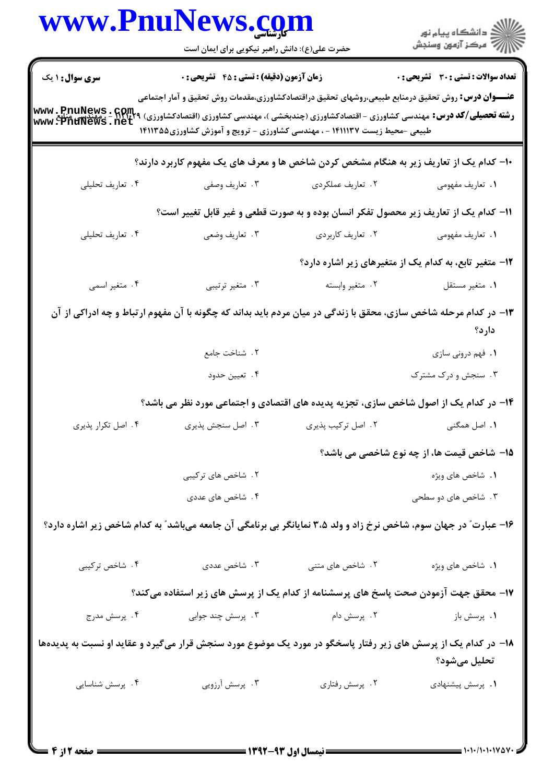|                                                                                                                               | www.PnuNews.com<br>حضرت علی(ع): دانش راهبر نیکویی برای ایمان است                                                                                                                                                                                                                                                                                |                    | ر<br>دانشڪاه پيام نور)<br>ا                            |  |  |
|-------------------------------------------------------------------------------------------------------------------------------|-------------------------------------------------------------------------------------------------------------------------------------------------------------------------------------------------------------------------------------------------------------------------------------------------------------------------------------------------|--------------------|--------------------------------------------------------|--|--|
| <b>سری سوال : ۱ یک</b>                                                                                                        | <b>زمان آزمون (دقیقه) : تستی : 45 تشریحی : 0</b>                                                                                                                                                                                                                                                                                                |                    | <b>تعداد سوالات : تستی : 30 ٪ تشریحی : 0</b>           |  |  |
|                                                                                                                               | <b>عنــــوان درس:</b> روش تحقیق درمنابع طبیعی،روشهای تحقیق دراقتصادکشاورزی،مقدمات روش تحقیق و آمار اجتماعی<br><b>رشته تحصیلی/کد درس:</b> مهندسی کشاورزی - اقتصادکشاورزی (چندبخشی )، مهندسی کشاورزی (اقتصادکشاورزی) ۲۹۲۴۰۲۹ . WWW ، PnuNews<br>www ، PnuNews . net<br>طبیعی -محیط زیست ۱۴۱۱۱۳۷ - ، مهندسی کشاورزی - ترویج و آموزش کشاورزی1۴۱۱۳۵۵ |                    |                                                        |  |  |
|                                                                                                                               | <b>۱۰</b> - کدام یک از تعاریف زیر به هنگام مشخص کردن شاخص ها و معرف های یک مفهوم کاربرد دارند؟                                                                                                                                                                                                                                                  |                    |                                                        |  |  |
| ۰۴ تعاریف تحلیلی                                                                                                              | ۰۳ تعاریف وصفی                                                                                                                                                                                                                                                                                                                                  | ٢. تعاريف عملكردي  | ٠١. تعاريف مفهومي                                      |  |  |
|                                                                                                                               | 11- کدام یک از تعاریف زیر محصول تفکر انسان بوده و به صورت قطعی و غیر قابل تغییر است؟                                                                                                                                                                                                                                                            |                    |                                                        |  |  |
| ۰۴ تعاریف تحلیلی                                                                                                              | ۰۳ تعاریف وضعی                                                                                                                                                                                                                                                                                                                                  | ۰۲ تعاریف کاربردی  | ٠١. تعاريف مفهومي                                      |  |  |
|                                                                                                                               |                                                                                                                                                                                                                                                                                                                                                 |                    | ۱۲- متغیر تابع، به کدام یک از متغیرهای زیر اشاره دارد؟ |  |  |
| ۰۴ متغیر اسمی                                                                                                                 | ۰۳ متغیر ترتیبی                                                                                                                                                                                                                                                                                                                                 | ٠٢ متغير وابسته    | ٠١ متغير مستقل                                         |  |  |
|                                                                                                                               | ۱۳- در کدام مرحله شاخص سازی، محقق با زندگی در میان مردم باید بداند که چگونه با آن مفهوم ارتباط و چه ادراکی از آن                                                                                                                                                                                                                                |                    | دارد؟                                                  |  |  |
|                                                                                                                               | ٢. شناخت جامع                                                                                                                                                                                                                                                                                                                                   |                    | ٠١ فهم دروني سازي                                      |  |  |
|                                                                                                                               | ۴. تعيين حدود                                                                                                                                                                                                                                                                                                                                   |                    | ۰۳ سنجش و درک مشترک                                    |  |  |
|                                                                                                                               | ۱۴- در کدام یک از اصول شاخص سازی، تجزیه پدیده های اقتصادی و اجتماعی مورد نظر می باشد؟                                                                                                                                                                                                                                                           |                    |                                                        |  |  |
| ۰۴ اصل تکرار پذیری                                                                                                            | ۰۳ اصل سنجش پذیری                                                                                                                                                                                                                                                                                                                               | ۰۲ اصل ترکیب پذیری | <b>۱.</b> اصل همگنی                                    |  |  |
|                                                                                                                               |                                                                                                                                                                                                                                                                                                                                                 |                    | 1۵– شاخص قیمت ها، از چه نوع شاخصی می باشد؟             |  |  |
|                                                                                                                               | ۲. شاخص های ترکیبی                                                                                                                                                                                                                                                                                                                              |                    | ٠١. شاخص هاى ويژه                                      |  |  |
|                                                                                                                               | ۴. شاخص های عددی                                                                                                                                                                                                                                                                                                                                |                    | ۰۳ شاخص های دو سطحی                                    |  |  |
| ۱۶- عبارت" در جهان سوم، شاخص نرخ زاد و ولد ۳،۵ نمایانگر بی برنامگی آن جامعه میباشد" به کدام شاخص زیر اشاره دارد؟              |                                                                                                                                                                                                                                                                                                                                                 |                    |                                                        |  |  |
| ۰۴ شاخص ترکیبی                                                                                                                | ۰۳ شاخص عددی                                                                                                                                                                                                                                                                                                                                    | ۲. شاخص های متنی   | ٠١. شاخص هاي ويژه                                      |  |  |
| ۱۷– محقق جهت آزمودن صحت پاسخ های پرسشنامه از کدام یک از پرسش های زیر استفاده میکند؟                                           |                                                                                                                                                                                                                                                                                                                                                 |                    |                                                        |  |  |
| ۰۴ پرسش مدرج                                                                                                                  | ۰۳ پرسش چند جوابی                                                                                                                                                                                                                                                                                                                               | ۰۲ پرسش دام        | ۰۱ پرسش باز                                            |  |  |
| ۱۸– در کدام یک از پرسش های زیر رفتار پاسخگو در مورد یک موضوع مورد سنجش قرار میگیرد و عقاید او نسبت به پدیدهها<br>تحليل مىشود؟ |                                                                                                                                                                                                                                                                                                                                                 |                    |                                                        |  |  |
| ۰۴ پرسش شناسایی                                                                                                               | ۰۳ پرسش آرزویی                                                                                                                                                                                                                                                                                                                                  | ۰۲ پرسش رفتاري     | ٠١. پرسش پيشنهادى                                      |  |  |
|                                                                                                                               |                                                                                                                                                                                                                                                                                                                                                 |                    |                                                        |  |  |

 $\blacksquare$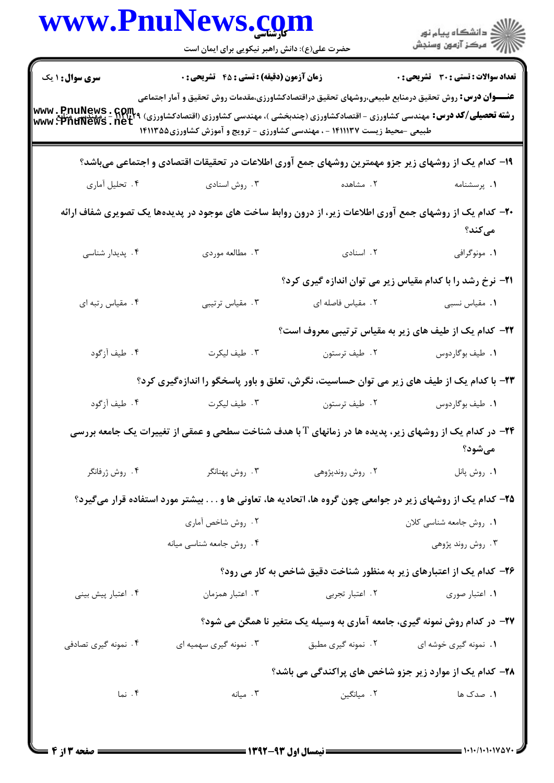|                                                                                                                    | www.PnuNews.com<br>حضرت علی(ع): دانش راهبر نیکویی برای ایمان است                                                                                                                                                                                                                                                                                       |                                                                           | ڪ دانشڪاه پيام نور<br>//> مرڪز آزمون وسنڊش   |  |
|--------------------------------------------------------------------------------------------------------------------|--------------------------------------------------------------------------------------------------------------------------------------------------------------------------------------------------------------------------------------------------------------------------------------------------------------------------------------------------------|---------------------------------------------------------------------------|----------------------------------------------|--|
| <b>سری سوال : ۱ یک</b>                                                                                             | <b>زمان آزمون (دقیقه) : تستی : 45 تشریحی : 0</b>                                                                                                                                                                                                                                                                                                       |                                                                           | <b>تعداد سوالات : تستي : 30 - تشريحي : 0</b> |  |
|                                                                                                                    | <b>عنــــوان درس:</b> روش تحقیق درمنابع طبیعی،روشهای تحقیق دراقتصادکشاورزی،مقدمات روش تحقیق و آمار اجتماعی<br><b>رشته تحصیلی/کد درس:</b> مهندسی کشاورزی - اقتصادکشاورزی (چندبخشی )، مهندسی کشاورزی (اقتصادکشاورزی) ۲۹۲۴۳۹ . Rul : مهندسی کشاورزی<br>www . PntINews . net<br>طبیعی -محیط زیست ۱۴۱۱۱۳۷ - ، مهندسی کشاورزی - ترویج و آموزش کشاورزی۱۴۱۱۳۵۵ |                                                                           |                                              |  |
|                                                                                                                    | ۱۹- کدام یک از روشهای زیر جزو مهمترین روشهای جمع آوری اطلاعات در تحقیقات اقتصادی و اجتماعی میباشد؟                                                                                                                                                                                                                                                     |                                                                           |                                              |  |
| ۰۴ تحلیل أماري                                                                                                     | ۰۳ روش اسنادی                                                                                                                                                                                                                                                                                                                                          | ۲. مشاهده                                                                 | ٠١. پرسشنامه                                 |  |
| +۲- کدام یک از روشهای جمع آوری اطلاعات زیر، از درون روابط ساخت های موجود در پدیدهها یک تصویری شفاف ارائه<br>مىكند؟ |                                                                                                                                                                                                                                                                                                                                                        |                                                                           |                                              |  |
| ۰۴ پدیدار شناسی                                                                                                    | ۰۳ مطالعه موردي                                                                                                                                                                                                                                                                                                                                        | ۰۲ اسنادی                                                                 | ۰۱ مونوگرافی                                 |  |
|                                                                                                                    |                                                                                                                                                                                                                                                                                                                                                        | <b>۲۱</b> - نرخ رشد را با کدام مقیاس زیر می توان اندازه گیری کرد؟         |                                              |  |
| ۰۴ مقیاس رتبه ای                                                                                                   | ۰۳ مقیاس ترتیبی                                                                                                                                                                                                                                                                                                                                        | ۰۲ مقیاس فاصله ای                                                         | ٠١. مقياس نسبى                               |  |
|                                                                                                                    |                                                                                                                                                                                                                                                                                                                                                        | <b>۲۲</b> - کدام یک از طیف های زیر به مقیاس ترتیبی معروف است؟             |                                              |  |
| ۴. طيف أزگود                                                                                                       | ۰۳ طيف ليکرت                                                                                                                                                                                                                                                                                                                                           | ۰۲ طيف ترستون                                                             | ٠١. طيف بوگاردوس                             |  |
|                                                                                                                    | ۲۳- با کدام یک از طیف های زیر می توان حساسیت، نگرش، تعلق و باور پاسخگو را اندازهگیری کرد؟                                                                                                                                                                                                                                                              |                                                                           |                                              |  |
| ۰۴ طيف آزگود                                                                                                       | ۰۳ طيف ليکرت                                                                                                                                                                                                                                                                                                                                           | ۰۲ طيف ترستون                                                             | ٠١. طيف بوگاردوس                             |  |
|                                                                                                                    | <b>۲۴</b> - در کدام یک از روشهای زیر، پدیده ها در زمانهای T با هدف شناخت سطحی و عمقی از تغییرات یک جامعه بررسی                                                                                                                                                                                                                                         |                                                                           | مىشود؟                                       |  |
| ۰۴ روش ژرفانگر                                                                                                     | ۰۳ روش پهنانگر                                                                                                                                                                                                                                                                                                                                         | ۰۲ روش روندپژوهی                                                          | ٠١. روش پانل                                 |  |
|                                                                                                                    | ۲۵– کدام یک از روشهای زیر در جوامعی چون گروه ها، اتحادیه ها، تعاونی ها و بیشتر مورد استفاده قرار میگیرد؟                                                                                                                                                                                                                                               |                                                                           |                                              |  |
|                                                                                                                    | ۰۲ روش شاخص آماری                                                                                                                                                                                                                                                                                                                                      |                                                                           | ٠١. روش جامعه شناسي كلان                     |  |
|                                                                                                                    | ۰۴ روش جامعه شناسي ميانه                                                                                                                                                                                                                                                                                                                               |                                                                           | ۰۳ روش روند پژوهی                            |  |
|                                                                                                                    |                                                                                                                                                                                                                                                                                                                                                        | ۲۶- کدام یک از اعتبارهای زیر به منظور شناخت دقیق شاخص به کار می رود؟      |                                              |  |
| ۰۴ اعتبار پیش بینی                                                                                                 | ۰۳ اعتبار همزمان                                                                                                                                                                                                                                                                                                                                       | ۰۲ اعتبار تجربی                                                           | ٠١. اعتبار صورى                              |  |
|                                                                                                                    |                                                                                                                                                                                                                                                                                                                                                        | ۲۷- در کدام روش نمونه گیری، جامعه آماری به وسیله یک متغیر نا همگن می شود؟ |                                              |  |
| ۰۴ نمونه گیری تصادفی                                                                                               | ۰۳ نمونه گیری سهمیه ای                                                                                                                                                                                                                                                                                                                                 | ۰۲ نمونه گیری مطبق                                                        | ۰۱ نمونه گیری خوشه ای                        |  |
|                                                                                                                    |                                                                                                                                                                                                                                                                                                                                                        | <b>۲۸</b> - کدام یک از موارد زیر جزو شاخص های پراکندگی می باشد؟           |                                              |  |
| ۰۴ نما                                                                                                             | ۰۳ میانه                                                                                                                                                                                                                                                                                                                                               | ۰۲ میانگین                                                                | 1. صدک ها                                    |  |
|                                                                                                                    |                                                                                                                                                                                                                                                                                                                                                        |                                                                           |                                              |  |